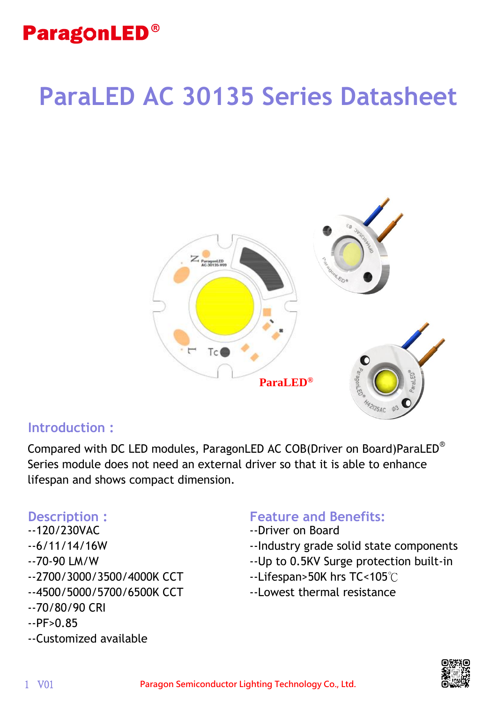# **ParaLED AC 30135 Series Datasheet**



#### **Introduction :**

Compared with DC LED modules, ParagonLED AC COB(Driver on Board)ParaLED® Series module does not need an external driver so that it is able to enhance lifespan and shows compact dimension.

- --120/230VAC
- --6/11/14/16W
- --70-90 LM/W
- --2700/3000/3500/4000K CCT
- --4500/5000/5700/6500K CCT
- --70/80/90 CRI
- $-$ PF $> 0.85$
- --Customized available

#### **Description : The Feature and Benefits:**

- --Driver on Board
- --Industry grade solid state components
- --Up to 0.5KV Surge protection built-in
- --Lifespan>50K hrs TC<105℃
- --Lowest thermal resistance

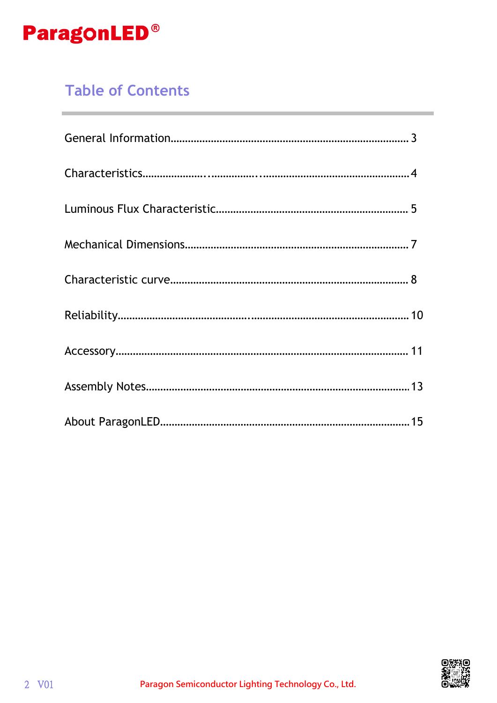

### **Table of Contents**

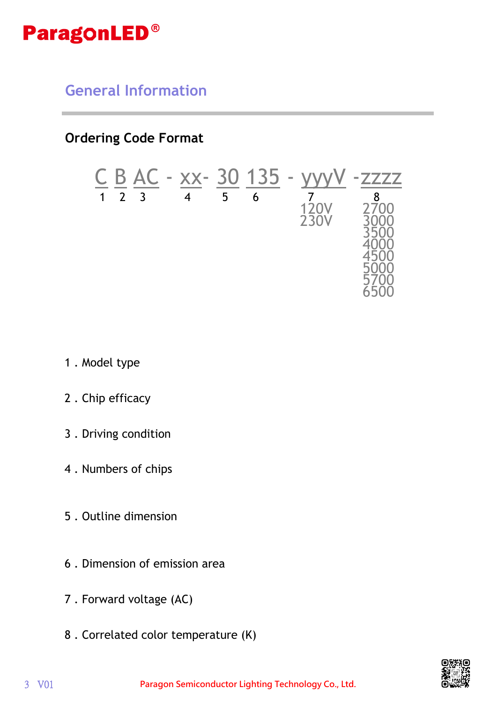

**General Information**

**Ordering Code Format**

$$
\frac{C}{1} \frac{B}{2} \frac{AC}{3} - \frac{XX}{4} - \frac{30}{5} \frac{135}{6} - \frac{YW}{120V} - \frac{zzzzz}{2700}
$$
  
 
$$
\frac{120V}{35000} \frac{2700}{35000}
$$
  
 
$$
\frac{4000}{4500}
$$
  
 
$$
\frac{5000}{5700}
$$
  
 6500

- 1 . Model type
- 2 . Chip efficacy
- 3 . Driving condition
- 4 . Numbers of chips
- 5 . Outline dimension
- 6 . Dimension of emission area
- 7 . Forward voltage (AC)
- 8 . Correlated color temperature (K)

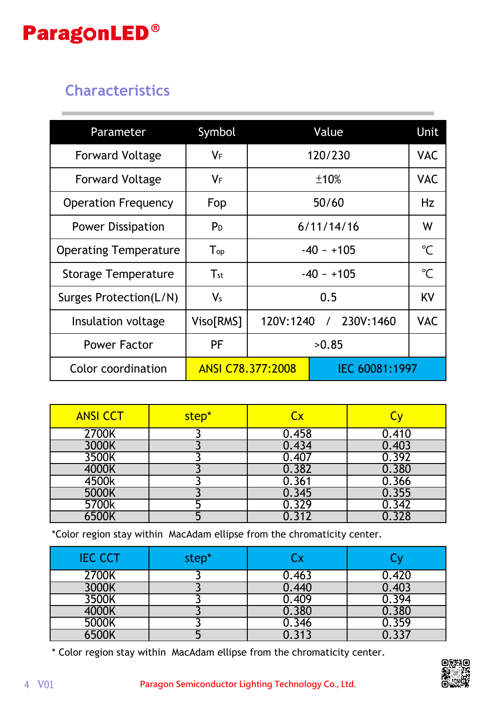### **Characteristics**

| Parameter                    | Symbol                     |                                            | Value      |              | Unit       |
|------------------------------|----------------------------|--------------------------------------------|------------|--------------|------------|
| <b>Forward Voltage</b>       | $V_F$                      |                                            | 120/230    |              | <b>VAC</b> |
| <b>Forward Voltage</b>       | $V_F$                      | ±10%                                       |            |              | <b>VAC</b> |
| <b>Operation Frequency</b>   | Fop                        | 50/60                                      |            |              | Hz         |
| <b>Power Dissipation</b>     | P <sub>D</sub>             |                                            | 6/11/14/16 |              | W          |
| <b>Operating Temperature</b> | $\mathsf{T}_{\mathsf{op}}$ | $-40 - +105$                               |            | $^{\circ}C$  |            |
| Storage Temperature          | $T_{\rm st}$               | $-40 - +105$                               |            | $\mathrm{C}$ |            |
| Surges Protection(L/N)       | $V_{s}$                    | 0.5                                        |            | KV           |            |
| Insulation voltage           | Viso[RMS]                  | 120V:1240 / 230V:1460                      |            | <b>VAC</b>   |            |
| <b>Power Factor</b>          | PF                         | >0.85                                      |            |              |            |
| Color coordination           |                            | IEC 60081:1997<br><b>ANSI C78.377:2008</b> |            |              |            |

| <b>ANSI CCT</b> | step* | Cx    |       |
|-----------------|-------|-------|-------|
| 2700K           |       | 0.458 | 0.410 |
| 3000K           |       | 0.434 | 0.403 |
| 3500K           |       | 0.407 | 0.392 |
| 4000K           |       | 0.382 | 0.380 |
| 4500k           |       | 0.361 | 0.366 |
| 5000K           |       | 0.345 | 0.355 |
| 5700k           |       | 0.329 | 0.342 |
| 6500K           |       | 0.312 | 0.328 |

\*Color region stay within MacAdam ellipse from the chromaticity center.

| <b>IEC CCT</b> | step* |       |       |
|----------------|-------|-------|-------|
| 2700K          |       | 0.463 | 0.420 |
| 3000K          |       | 1.440 | 0.403 |
| 3500K          |       | 0.409 | 0.394 |
| 4000K          |       | 0.380 | 0.380 |
| 5000K          |       | 346   | 0.359 |
|                |       |       |       |

\* Color region stay within MacAdam ellipse from the chromaticity center.

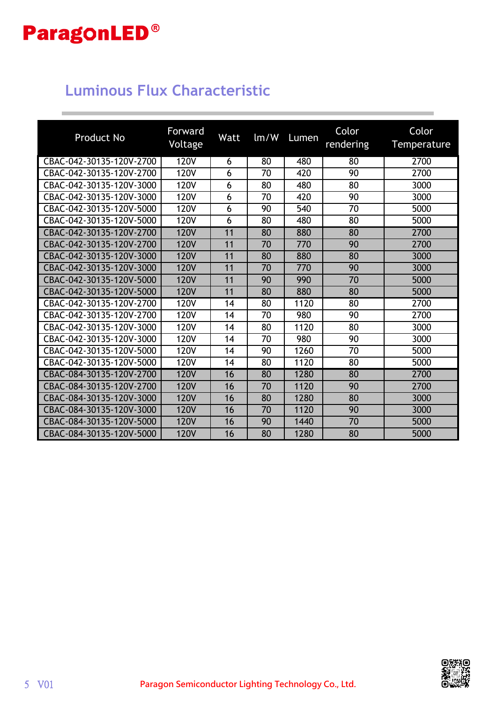### **Luminous Flux Characteristic**

| <b>Product No</b>        | Forward<br>Voltage | <b>Watt</b> | $\text{Im}/\text{W}$ | Lumen | Color<br>rendering | Color<br>Temperature |
|--------------------------|--------------------|-------------|----------------------|-------|--------------------|----------------------|
| CBAC-042-30135-120V-2700 | <b>120V</b>        | 6           | 80                   | 480   | 80                 | 2700                 |
| CBAC-042-30135-120V-2700 | <b>120V</b>        | 6           | 70                   | 420   | 90                 | 2700                 |
| CBAC-042-30135-120V-3000 | <b>120V</b>        | 6           | 80                   | 480   | 80                 | 3000                 |
| CBAC-042-30135-120V-3000 | <b>120V</b>        | 6           | 70                   | 420   | 90                 | 3000                 |
| CBAC-042-30135-120V-5000 | <b>120V</b>        | 6           | 90                   | 540   | 70                 | 5000                 |
| CBAC-042-30135-120V-5000 | <b>120V</b>        | 6           | 80                   | 480   | 80                 | 5000                 |
| CBAC-042-30135-120V-2700 | <b>120V</b>        | 11          | 80                   | 880   | 80                 | 2700                 |
| CBAC-042-30135-120V-2700 | <b>120V</b>        | 11          | 70                   | 770   | 90                 | 2700                 |
| CBAC-042-30135-120V-3000 | <b>120V</b>        | 11          | 80                   | 880   | 80                 | 3000                 |
| CBAC-042-30135-120V-3000 | <b>120V</b>        | 11          | 70                   | 770   | 90                 | 3000                 |
| CBAC-042-30135-120V-5000 | <b>120V</b>        | 11          | 90                   | 990   | 70                 | 5000                 |
| CBAC-042-30135-120V-5000 | <b>120V</b>        | 11          | 80                   | 880   | 80                 | 5000                 |
| CBAC-042-30135-120V-2700 | <b>120V</b>        | 14          | 80                   | 1120  | 80                 | 2700                 |
| CBAC-042-30135-120V-2700 | <b>120V</b>        | 14          | 70                   | 980   | 90                 | 2700                 |
| CBAC-042-30135-120V-3000 | <b>120V</b>        | 14          | 80                   | 1120  | 80                 | 3000                 |
| CBAC-042-30135-120V-3000 | <b>120V</b>        | 14          | 70                   | 980   | 90                 | 3000                 |
| CBAC-042-30135-120V-5000 | <b>120V</b>        | 14          | 90                   | 1260  | 70                 | 5000                 |
| CBAC-042-30135-120V-5000 | <b>120V</b>        | 14          | 80                   | 1120  | 80                 | 5000                 |
| CBAC-084-30135-120V-2700 | <b>120V</b>        | 16          | 80                   | 1280  | 80                 | 2700                 |
| CBAC-084-30135-120V-2700 | <b>120V</b>        | 16          | 70                   | 1120  | 90                 | 2700                 |
| CBAC-084-30135-120V-3000 | <b>120V</b>        | 16          | 80                   | 1280  | 80                 | 3000                 |
| CBAC-084-30135-120V-3000 | <b>120V</b>        | 16          | 70                   | 1120  | 90                 | 3000                 |
| CBAC-084-30135-120V-5000 | <b>120V</b>        | 16          | 90                   | 1440  | 70                 | 5000                 |
| CBAC-084-30135-120V-5000 | <b>120V</b>        | 16          | 80                   | 1280  | 80                 | 5000                 |

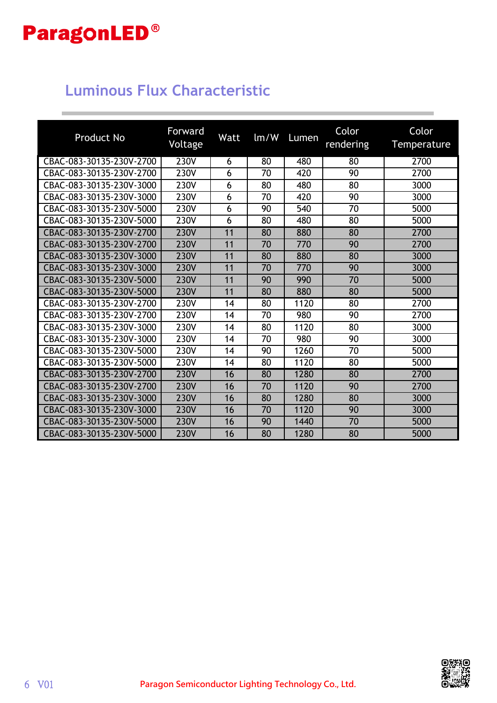### **Luminous Flux Characteristic**

| <b>Product No</b>        | Forward<br>Voltage | Watt | Im/W | Lumen | Color<br>rendering | Color<br>Temperature |
|--------------------------|--------------------|------|------|-------|--------------------|----------------------|
| CBAC-083-30135-230V-2700 | 230V               | 6    | 80   | 480   | 80                 | 2700                 |
| CBAC-083-30135-230V-2700 | <b>230V</b>        | 6    | 70   | 420   | 90                 | 2700                 |
| CBAC-083-30135-230V-3000 | 230V               | 6    | 80   | 480   | 80                 | 3000                 |
| CBAC-083-30135-230V-3000 | 230V               | 6    | 70   | 420   | 90                 | 3000                 |
| CBAC-083-30135-230V-5000 | 230V               | 6    | 90   | 540   | 70                 | 5000                 |
| CBAC-083-30135-230V-5000 | <b>230V</b>        | 6    | 80   | 480   | 80                 | 5000                 |
| CBAC-083-30135-230V-2700 | <b>230V</b>        | 11   | 80   | 880   | 80                 | 2700                 |
| CBAC-083-30135-230V-2700 | <b>230V</b>        | 11   | 70   | 770   | 90                 | 2700                 |
| CBAC-083-30135-230V-3000 | <b>230V</b>        | 11   | 80   | 880   | 80                 | 3000                 |
| CBAC-083-30135-230V-3000 | <b>230V</b>        | 11   | 70   | 770   | 90                 | 3000                 |
| CBAC-083-30135-230V-5000 | 230V               | 11   | 90   | 990   | 70                 | 5000                 |
| CBAC-083-30135-230V-5000 | <b>230V</b>        | 11   | 80   | 880   | 80                 | 5000                 |
| CBAC-083-30135-230V-2700 | 230V               | 14   | 80   | 1120  | 80                 | 2700                 |
| CBAC-083-30135-230V-2700 | <b>230V</b>        | 14   | 70   | 980   | 90                 | 2700                 |
| CBAC-083-30135-230V-3000 | 230V               | 14   | 80   | 1120  | 80                 | 3000                 |
| CBAC-083-30135-230V-3000 | 230V               | 14   | 70   | 980   | 90                 | 3000                 |
| CBAC-083-30135-230V-5000 | 230V               | 14   | 90   | 1260  | 70                 | 5000                 |
| CBAC-083-30135-230V-5000 | 230V               | 14   | 80   | 1120  | 80                 | 5000                 |
| CBAC-083-30135-230V-2700 | <b>230V</b>        | 16   | 80   | 1280  | 80                 | 2700                 |
| CBAC-083-30135-230V-2700 | <b>230V</b>        | 16   | 70   | 1120  | 90                 | 2700                 |
| CBAC-083-30135-230V-3000 | <b>230V</b>        | 16   | 80   | 1280  | 80                 | 3000                 |
| CBAC-083-30135-230V-3000 | <b>230V</b>        | 16   | 70   | 1120  | 90                 | 3000                 |
| CBAC-083-30135-230V-5000 | <b>230V</b>        | 16   | 90   | 1440  | 70                 | 5000                 |
| CBAC-083-30135-230V-5000 | 230V               | 16   | 80   | 1280  | 80                 | 5000                 |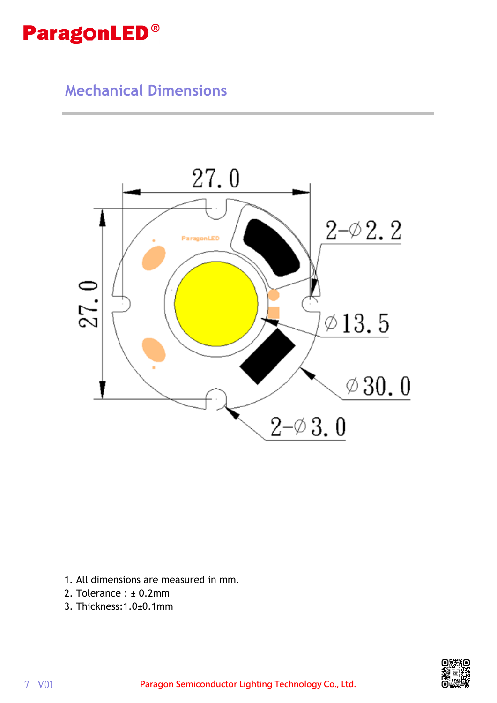### **Mechanical Dimensions**



- 1. All dimensions are measured in mm.
- 2. Tolerance :  $\pm$  0.2mm
- 3. Thickness:1.0±0.1mm

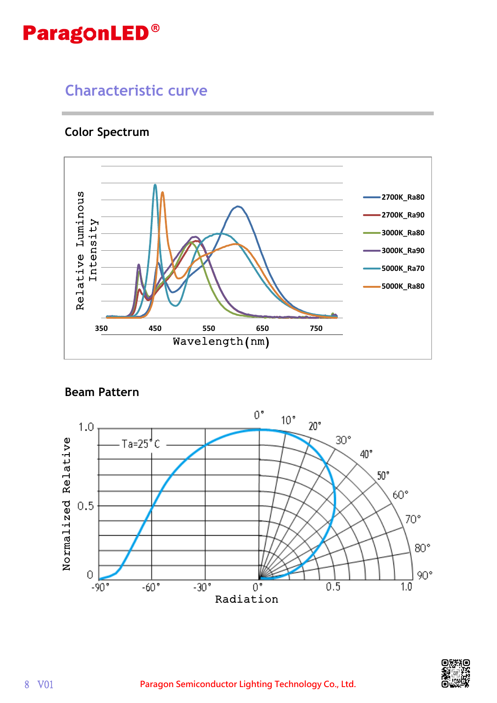### **Characteristic curve**

#### **Color Spectrum**



#### **Beam Pattern**



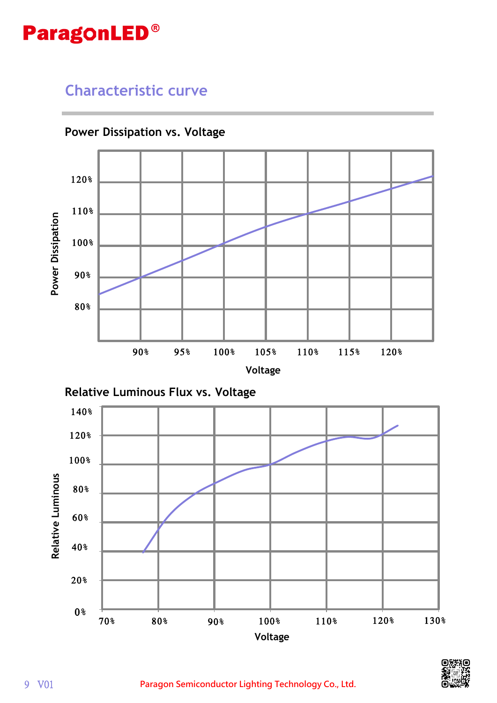#### **Characteristic curve**







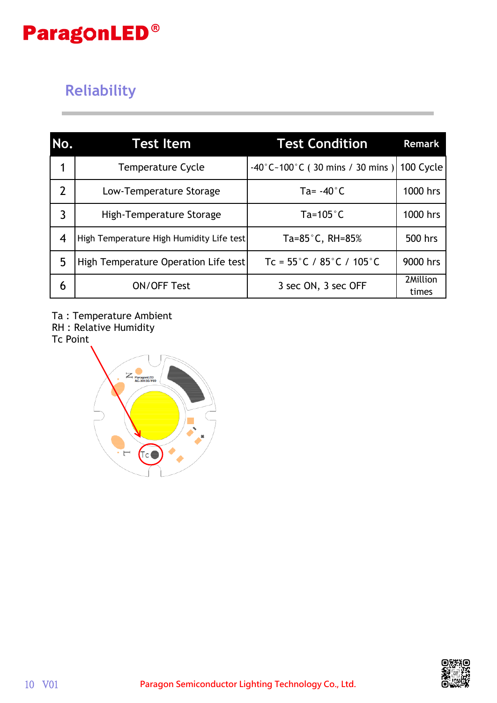### **Reliability**

| No.              | <b>Test Item</b>                         | <b>Test Condition</b>                                   | Remark            |
|------------------|------------------------------------------|---------------------------------------------------------|-------------------|
| 1                | <b>Temperature Cycle</b>                 | $-40^{\circ}$ C $-100^{\circ}$ C (30 mins / 30 mins )   | 100 Cycle         |
| $\overline{2}$   | Low-Temperature Storage                  | Ta= $-40^{\circ}$ C                                     | 1000 hrs          |
| 3                | High-Temperature Storage                 | Ta=105 $^{\circ}$ C                                     | 1000 hrs          |
| $\boldsymbol{4}$ | High Temperature High Humidity Life test | Ta= $85^{\circ}$ C, RH= $85\%$                          | 500 hrs           |
| 5                | High Temperature Operation Life test     | Tc = $55^{\circ}$ C / $85^{\circ}$ C / 105 $^{\circ}$ C | 9000 hrs          |
| 6                | <b>ON/OFF Test</b>                       | 3 sec ON, 3 sec OFF                                     | 2Million<br>times |

Ta : Temperature Ambient

RH : Relative Humidity

Tc Point



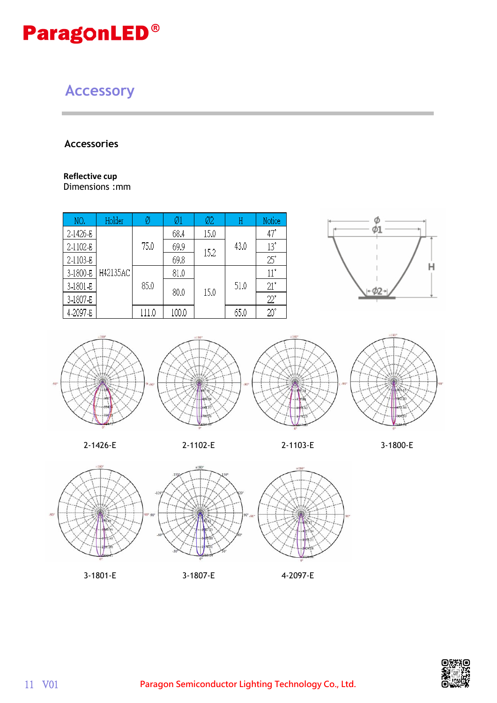### **Accessory**

#### **Accessories**

#### **Reflective cup**

Dimensions :mm

| NO.      | Holder   | Ø     | Ø1    | Ø2   | Η    | Notice       |              |
|----------|----------|-------|-------|------|------|--------------|--------------|
| 2-1426-E |          | 75.0  | 68.4  | 15.0 | 43.0 | $47^\circ$   |              |
| 2-1102-E |          |       | 69.9  | 15.2 |      | $13^{\circ}$ |              |
| 2-1103-E |          |       | 69.8  |      |      | $25^\circ$   |              |
| 3-1800-E | H42135AC | 85.0  | 81.0  |      |      | $11^{\circ}$ |              |
| 3-1801-E |          |       | 80.0  |      | 15.0 | 51.0         | $21^{\circ}$ |
| 3-1807-E |          |       |       |      |      | $22^\circ$   |              |
| 4-2097-E |          | 111.0 | 100.0 |      | 65.0 | $20^\circ$   |              |



















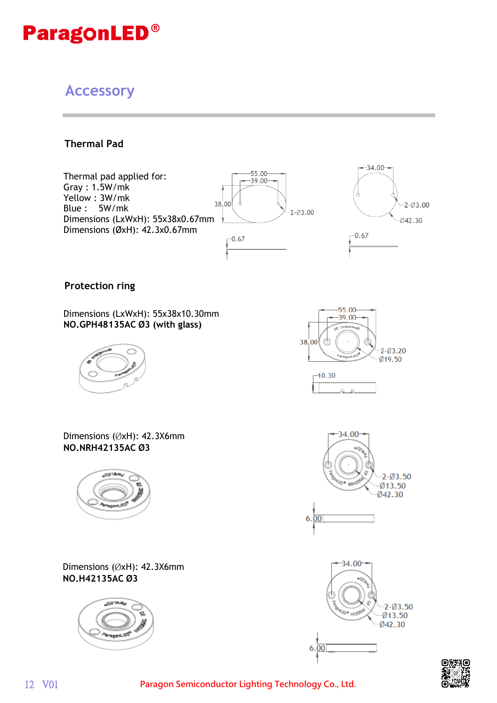### **Accessory**

**Thermal Pad**



**Protection ring**

Dimensions (LxWxH): 55x38x10.30mm **NO.GPH48135AC Ø 3 (with glass)**



Dimensions (ØxH): 42.3X6mm **NO.NRH42135AC Ø 3**



Dimensions (ØxH): 42.3X6mm **NO.H42135AC Ø 3**











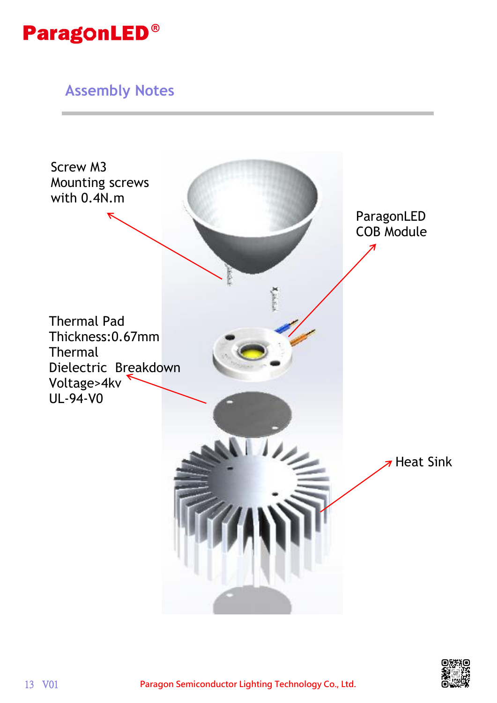

#### **Assembly Notes**



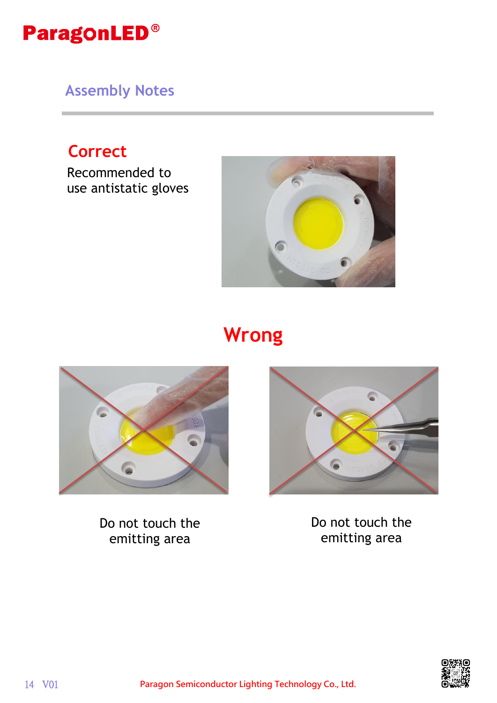

**Assembly Notes**

## **Correct**

Recommended to use antistatic gloves



# **Wrong**



Do not touch the emitting area



Do not touch the emitting area